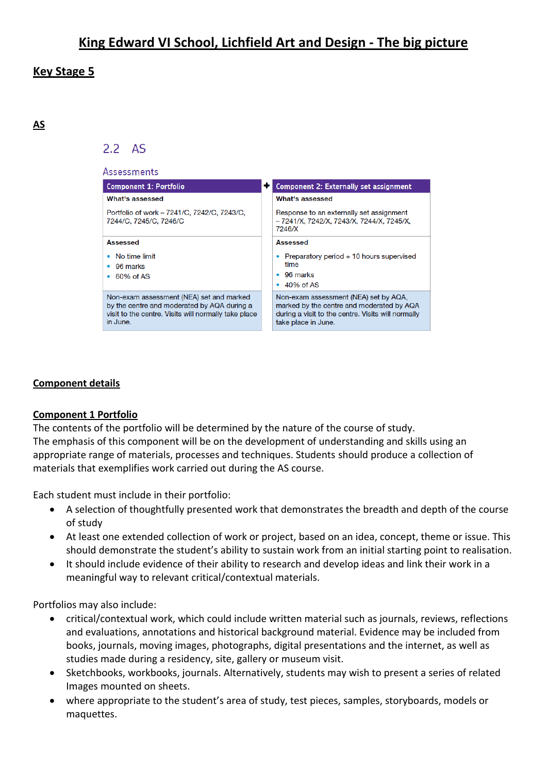## **Key Stage 5**

**AS**

## $2.2<sub>AS</sub>$



## **Component details**

#### **Component 1 Portfolio**

The contents of the portfolio will be determined by the nature of the course of study. The emphasis of this component will be on the development of understanding and skills using an appropriate range of materials, processes and techniques. Students should produce a collection of materials that exemplifies work carried out during the AS course.

Each student must include in their portfolio:

- A selection of thoughtfully presented work that demonstrates the breadth and depth of the course of study
- At least one extended collection of work or project, based on an idea, concept, theme or issue. This should demonstrate the student's ability to sustain work from an initial starting point to realisation.
- It should include evidence of their ability to research and develop ideas and link their work in a meaningful way to relevant critical/contextual materials.

Portfolios may also include:

- critical/contextual work, which could include written material such as journals, reviews, reflections and evaluations, annotations and historical background material. Evidence may be included from books, journals, moving images, photographs, digital presentations and the internet, as well as studies made during a residency, site, gallery or museum visit.
- Sketchbooks, workbooks, journals. Alternatively, students may wish to present a series of related Images mounted on sheets.
- where appropriate to the student's area of study, test pieces, samples, storyboards, models or maquettes.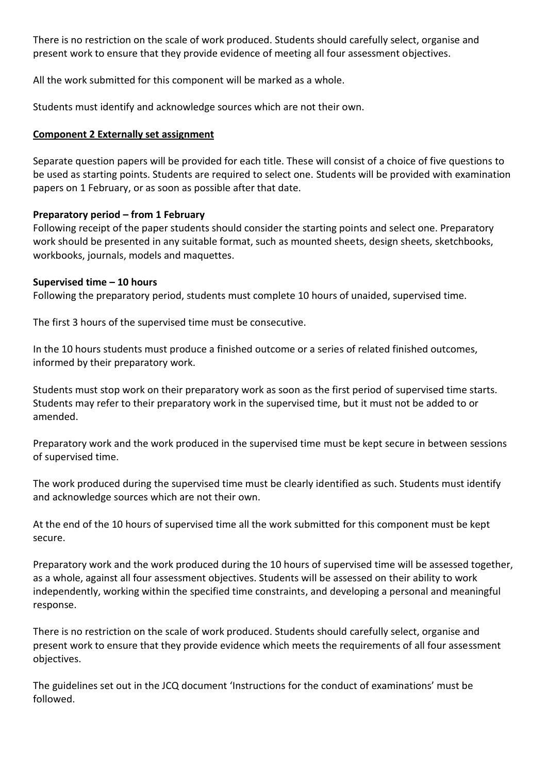There is no restriction on the scale of work produced. Students should carefully select, organise and present work to ensure that they provide evidence of meeting all four assessment objectives.

All the work submitted for this component will be marked as a whole.

Students must identify and acknowledge sources which are not their own.

## **Component 2 Externally set assignment**

Separate question papers will be provided for each title. These will consist of a choice of five questions to be used as starting points. Students are required to select one. Students will be provided with examination papers on 1 February, or as soon as possible after that date.

## **Preparatory period – from 1 February**

Following receipt of the paper students should consider the starting points and select one. Preparatory work should be presented in any suitable format, such as mounted sheets, design sheets, sketchbooks, workbooks, journals, models and maquettes.

#### **Supervised time – 10 hours**

Following the preparatory period, students must complete 10 hours of unaided, supervised time.

The first 3 hours of the supervised time must be consecutive.

In the 10 hours students must produce a finished outcome or a series of related finished outcomes, informed by their preparatory work.

Students must stop work on their preparatory work as soon as the first period of supervised time starts. Students may refer to their preparatory work in the supervised time, but it must not be added to or amended.

Preparatory work and the work produced in the supervised time must be kept secure in between sessions of supervised time.

The work produced during the supervised time must be clearly identified as such. Students must identify and acknowledge sources which are not their own.

At the end of the 10 hours of supervised time all the work submitted for this component must be kept secure.

Preparatory work and the work produced during the 10 hours of supervised time will be assessed together, as a whole, against all four assessment objectives. Students will be assessed on their ability to work independently, working within the specified time constraints, and developing a personal and meaningful response.

There is no restriction on the scale of work produced. Students should carefully select, organise and present work to ensure that they provide evidence which meets the requirements of all four assessment objectives.

The guidelines set out in the JCQ document 'Instructions for the conduct of examinations' must be followed.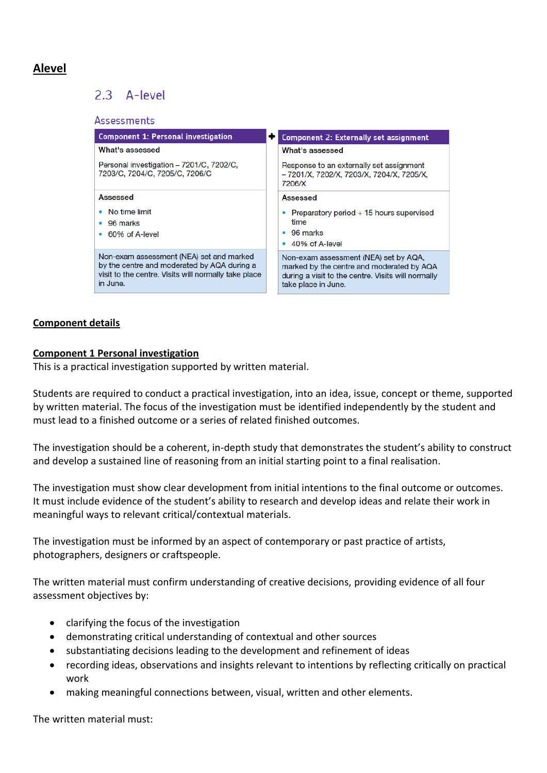# **Alevel**

# 2.3 A-level

| Assessments                                                                                                                                                 |                                                                                                                                                                 |
|-------------------------------------------------------------------------------------------------------------------------------------------------------------|-----------------------------------------------------------------------------------------------------------------------------------------------------------------|
| <b>Component 1: Personal investigation</b>                                                                                                                  | <b>Component 2: Externally set assignment</b>                                                                                                                   |
| What's assessed                                                                                                                                             | What's assessed                                                                                                                                                 |
| Personal investigation - 7201/C, 7202/C,<br>7203/C, 7204/C, 7205/C, 7206/C                                                                                  | Response to an externally set assignment<br>- 7201/X, 7202/X, 7203/X, 7204/X, 7205/X,<br>7206/X                                                                 |
| Assessed                                                                                                                                                    | <b>Assessed</b>                                                                                                                                                 |
| No time limit<br>٠<br>$\bullet$ 96 marks<br>• 60% of A-level                                                                                                | Preparatory period + 15 hours supervised<br>time<br>$\bullet$ 96 marks<br>40% of A-level<br>۰                                                                   |
| Non-exam assessment (NEA) set and marked<br>by the centre and moderated by AQA during a<br>visit to the centre. Visits will normally take place<br>in June. | Non-exam assessment (NEA) set by AQA,<br>marked by the centre and moderated by AQA<br>during a visit to the centre. Visits will normally<br>take place in June. |

## **Component details**

#### **Component 1 Personal investigation**

This is a practical investigation supported by written material.

Students are required to conduct a practical investigation, into an idea, issue, concept or theme, supported by written material. The focus of the investigation must be identified independently by the student and must lead to a finished outcome or a series of related finished outcomes.

The investigation should be a coherent, in-depth study that demonstrates the student's ability to construct and develop a sustained line of reasoning from an initial starting point to a final realisation.

The investigation must show clear development from initial intentions to the final outcome or outcomes. It must include evidence of the student's ability to research and develop ideas and relate their work in meaningful ways to relevant critical/contextual materials.

The investigation must be informed by an aspect of contemporary or past practice of artists, photographers, designers or craftspeople.

The written material must confirm understanding of creative decisions, providing evidence of all four assessment objectives by:

- clarifying the focus of the investigation
- demonstrating critical understanding of contextual and other sources
- substantiating decisions leading to the development and refinement of ideas
- recording ideas, observations and insights relevant to intentions by reflecting critically on practical work
- making meaningful connections between, visual, written and other elements.

The written material must: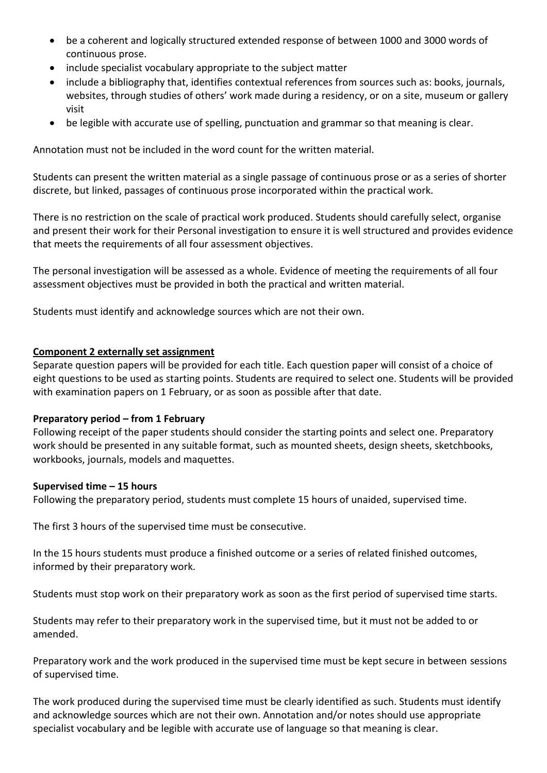- be a coherent and logically structured extended response of between 1000 and 3000 words of continuous prose.
- include specialist vocabulary appropriate to the subject matter
- include a bibliography that, identifies contextual references from sources such as: books, journals, websites, through studies of others' work made during a residency, or on a site, museum or gallery visit
- be legible with accurate use of spelling, punctuation and grammar so that meaning is clear.

Annotation must not be included in the word count for the written material.

Students can present the written material as a single passage of continuous prose or as a series of shorter discrete, but linked, passages of continuous prose incorporated within the practical work.

There is no restriction on the scale of practical work produced. Students should carefully select, organise and present their work for their Personal investigation to ensure it is well structured and provides evidence that meets the requirements of all four assessment objectives.

The personal investigation will be assessed as a whole. Evidence of meeting the requirements of all four assessment objectives must be provided in both the practical and written material.

Students must identify and acknowledge sources which are not their own.

## **Component 2 externally set assignment**

Separate question papers will be provided for each title. Each question paper will consist of a choice of eight questions to be used as starting points. Students are required to select one. Students will be provided with examination papers on 1 February, or as soon as possible after that date.

#### **Preparatory period – from 1 February**

Following receipt of the paper students should consider the starting points and select one. Preparatory work should be presented in any suitable format, such as mounted sheets, design sheets, sketchbooks, workbooks, journals, models and maquettes.

#### **Supervised time – 15 hours**

Following the preparatory period, students must complete 15 hours of unaided, supervised time.

The first 3 hours of the supervised time must be consecutive.

In the 15 hours students must produce a finished outcome or a series of related finished outcomes, informed by their preparatory work.

Students must stop work on their preparatory work as soon as the first period of supervised time starts.

Students may refer to their preparatory work in the supervised time, but it must not be added to or amended.

Preparatory work and the work produced in the supervised time must be kept secure in between sessions of supervised time.

The work produced during the supervised time must be clearly identified as such. Students must identify and acknowledge sources which are not their own. Annotation and/or notes should use appropriate specialist vocabulary and be legible with accurate use of language so that meaning is clear.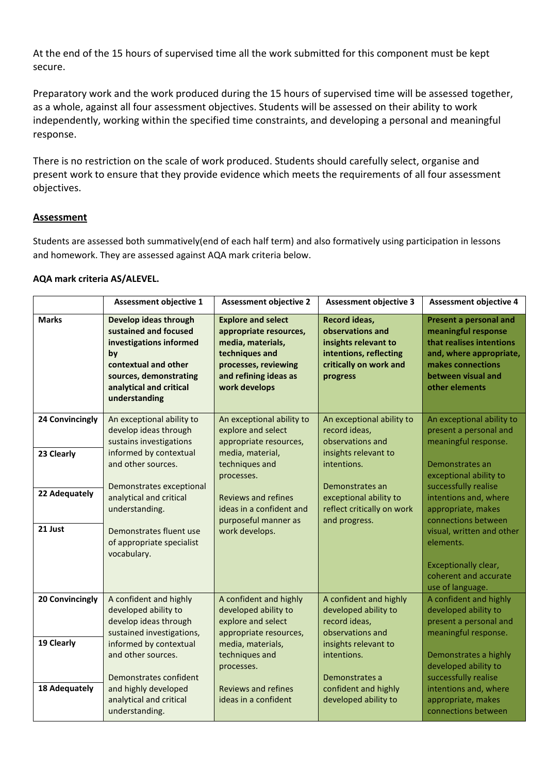At the end of the 15 hours of supervised time all the work submitted for this component must be kept secure.

Preparatory work and the work produced during the 15 hours of supervised time will be assessed together, as a whole, against all four assessment objectives. Students will be assessed on their ability to work independently, working within the specified time constraints, and developing a personal and meaningful response.

There is no restriction on the scale of work produced. Students should carefully select, organise and present work to ensure that they provide evidence which meets the requirements of all four assessment objectives.

#### **Assessment**

Students are assessed both summatively(end of each half term) and also formatively using participation in lessons and homework. They are assessed against AQA mark criteria below.

#### **AQA mark criteria AS/ALEVEL.**

|                 | <b>Assessment objective 1</b>                                                                                                                                                 | <b>Assessment objective 2</b>                                                                                                                                | <b>Assessment objective 3</b>                                                                                             | <b>Assessment objective 4</b>                                                                                                                                            |
|-----------------|-------------------------------------------------------------------------------------------------------------------------------------------------------------------------------|--------------------------------------------------------------------------------------------------------------------------------------------------------------|---------------------------------------------------------------------------------------------------------------------------|--------------------------------------------------------------------------------------------------------------------------------------------------------------------------|
| <b>Marks</b>    | Develop ideas through<br>sustained and focused<br>investigations informed<br>by<br>contextual and other<br>sources, demonstrating<br>analytical and critical<br>understanding | <b>Explore and select</b><br>appropriate resources,<br>media, materials,<br>techniques and<br>processes, reviewing<br>and refining ideas as<br>work develops | Record ideas,<br>observations and<br>insights relevant to<br>intentions, reflecting<br>critically on work and<br>progress | <b>Present a personal and</b><br>meaningful response<br>that realises intentions<br>and, where appropriate,<br>makes connections<br>between visual and<br>other elements |
| 24 Convincingly | An exceptional ability to<br>develop ideas through<br>sustains investigations                                                                                                 | An exceptional ability to<br>explore and select<br>appropriate resources,                                                                                    | An exceptional ability to<br>record ideas,<br>observations and                                                            | An exceptional ability to<br>present a personal and<br>meaningful response.                                                                                              |
| 23 Clearly      | informed by contextual<br>and other sources.                                                                                                                                  | media, material,<br>techniques and<br>processes.                                                                                                             | insights relevant to<br>intentions.                                                                                       | Demonstrates an<br>exceptional ability to                                                                                                                                |
| 22 Adequately   | Demonstrates exceptional<br>analytical and critical<br>understanding.                                                                                                         | <b>Reviews and refines</b><br>ideas in a confident and<br>purposeful manner as                                                                               | Demonstrates an<br>exceptional ability to<br>reflect critically on work<br>and progress.                                  | successfully realise<br>intentions and, where<br>appropriate, makes<br>connections between                                                                               |
| 21 Just         | Demonstrates fluent use<br>of appropriate specialist<br>vocabulary.                                                                                                           | work develops.                                                                                                                                               |                                                                                                                           | visual, written and other<br>elements.                                                                                                                                   |
|                 |                                                                                                                                                                               |                                                                                                                                                              |                                                                                                                           | Exceptionally clear,<br>coherent and accurate<br>use of language.                                                                                                        |
| 20 Convincingly | A confident and highly<br>developed ability to<br>develop ideas through<br>sustained investigations,                                                                          | A confident and highly<br>developed ability to<br>explore and select<br>appropriate resources,                                                               | A confident and highly<br>developed ability to<br>record ideas,<br>observations and                                       | A confident and highly<br>developed ability to<br>present a personal and<br>meaningful response.                                                                         |
| 19 Clearly      | informed by contextual<br>and other sources.<br>Demonstrates confident                                                                                                        | media, materials,<br>techniques and<br>processes.                                                                                                            | insights relevant to<br>intentions.<br>Demonstrates a                                                                     | Demonstrates a highly<br>developed ability to<br>successfully realise                                                                                                    |
| 18 Adequately   | and highly developed<br>analytical and critical<br>understanding.                                                                                                             | <b>Reviews and refines</b><br>ideas in a confident                                                                                                           | confident and highly<br>developed ability to                                                                              | intentions and, where<br>appropriate, makes<br>connections between                                                                                                       |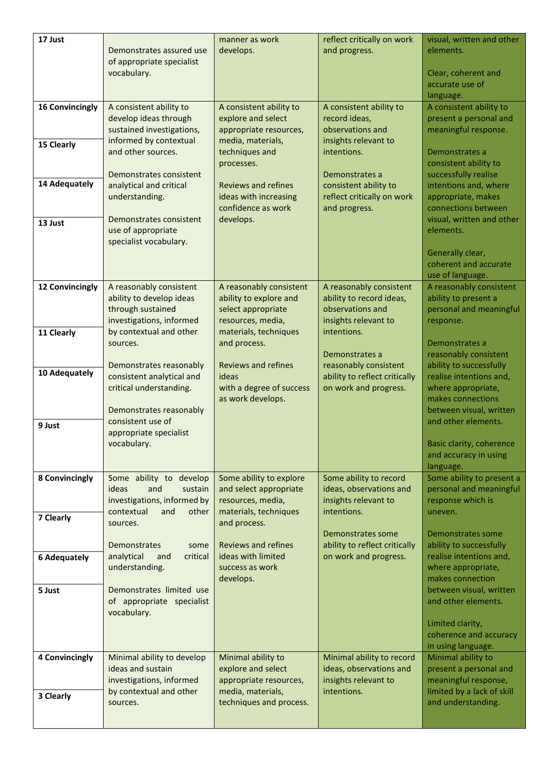| 17 Just                | Demonstrates assured use                               | manner as work<br>develops.                         | reflect critically on work<br>and progress.            | visual, written and other<br>elements.             |
|------------------------|--------------------------------------------------------|-----------------------------------------------------|--------------------------------------------------------|----------------------------------------------------|
|                        | of appropriate specialist                              |                                                     |                                                        |                                                    |
|                        | vocabulary.                                            |                                                     |                                                        | Clear, coherent and<br>accurate use of             |
|                        |                                                        |                                                     |                                                        | language.                                          |
| <b>16 Convincingly</b> | A consistent ability to<br>develop ideas through       | A consistent ability to<br>explore and select       | A consistent ability to<br>record ideas,               | A consistent ability to<br>present a personal and  |
|                        | sustained investigations,                              | appropriate resources,                              | observations and                                       | meaningful response.                               |
| 15 Clearly             | informed by contextual                                 | media, materials,                                   | insights relevant to                                   |                                                    |
|                        | and other sources.                                     | techniques and<br>processes.                        | intentions.                                            | Demonstrates a<br>consistent ability to            |
|                        | Demonstrates consistent                                |                                                     | Demonstrates a                                         | successfully realise                               |
| 14 Adequately          | analytical and critical<br>understanding.              | <b>Reviews and refines</b><br>ideas with increasing | consistent ability to<br>reflect critically on work    | intentions and, where<br>appropriate, makes        |
|                        |                                                        | confidence as work                                  | and progress.                                          | connections between                                |
| 13 Just                | Demonstrates consistent                                | develops.                                           |                                                        | visual, written and other                          |
|                        | use of appropriate<br>specialist vocabulary.           |                                                     |                                                        | elements.                                          |
|                        |                                                        |                                                     |                                                        | Generally clear,                                   |
|                        |                                                        |                                                     |                                                        | coherent and accurate<br>use of language.          |
| 12 Convincingly        | A reasonably consistent                                | A reasonably consistent                             | A reasonably consistent                                | A reasonably consistent                            |
|                        | ability to develop ideas<br>through sustained          | ability to explore and                              | ability to record ideas,<br>observations and           | ability to present a<br>personal and meaningful    |
|                        | investigations, informed                               | select appropriate<br>resources, media,             | insights relevant to                                   | response.                                          |
| 11 Clearly             | by contextual and other                                | materials, techniques                               | intentions.                                            |                                                    |
|                        | sources.                                               | and process.                                        | Demonstrates a                                         | Demonstrates a<br>reasonably consistent            |
|                        | Demonstrates reasonably                                | <b>Reviews and refines</b>                          | reasonably consistent                                  | ability to successfully                            |
| 10 Adequately          | consistent analytical and<br>critical understanding.   | ideas<br>with a degree of success                   | ability to reflect critically<br>on work and progress. | realise intentions and,<br>where appropriate,      |
|                        |                                                        | as work develops.                                   |                                                        | makes connections                                  |
|                        | Demonstrates reasonably                                |                                                     |                                                        | between visual, written                            |
| 9 Just                 | consistent use of<br>appropriate specialist            |                                                     |                                                        | and other elements.                                |
|                        | vocabulary.                                            |                                                     |                                                        | Basic clarity, coherence                           |
|                        |                                                        |                                                     |                                                        | and accuracy in using<br>language.                 |
| 8 Convincingly         | Some ability to develop                                | Some ability to explore                             | Some ability to record                                 | Some ability to present a                          |
|                        | and<br>ideas<br>sustain<br>investigations, informed by | and select appropriate<br>resources, media,         | ideas, observations and<br>insights relevant to        | personal and meaningful<br>response which is       |
|                        | contextual<br>and<br>other                             | materials, techniques                               | intentions.                                            | uneven.                                            |
| 7 Clearly              | sources.                                               | and process.                                        |                                                        |                                                    |
|                        | Demonstrates<br>some                                   | <b>Reviews and refines</b>                          | Demonstrates some<br>ability to reflect critically     | Demonstrates some<br>ability to successfully       |
| <b>6 Adequately</b>    | analytical<br>critical<br>and                          | ideas with limited                                  | on work and progress.                                  | realise intentions and,                            |
|                        | understanding.                                         | success as work<br>develops.                        |                                                        | where appropriate,<br>makes connection             |
| 5 Just                 | Demonstrates limited use                               |                                                     |                                                        | between visual, written                            |
|                        | of appropriate specialist<br>vocabulary.               |                                                     |                                                        | and other elements.                                |
|                        |                                                        |                                                     |                                                        | Limited clarity,                                   |
|                        |                                                        |                                                     |                                                        | coherence and accuracy                             |
| 4 Convincingly         | Minimal ability to develop                             | Minimal ability to                                  | Minimal ability to record                              | in using language.<br>Minimal ability to           |
|                        | ideas and sustain                                      | explore and select                                  | ideas, observations and                                | present a personal and                             |
|                        | investigations, informed<br>by contextual and other    | appropriate resources,<br>media, materials,         | insights relevant to<br>intentions.                    | meaningful response,<br>limited by a lack of skill |
| 3 Clearly              | sources.                                               | techniques and process.                             |                                                        | and understanding.                                 |
|                        |                                                        |                                                     |                                                        |                                                    |